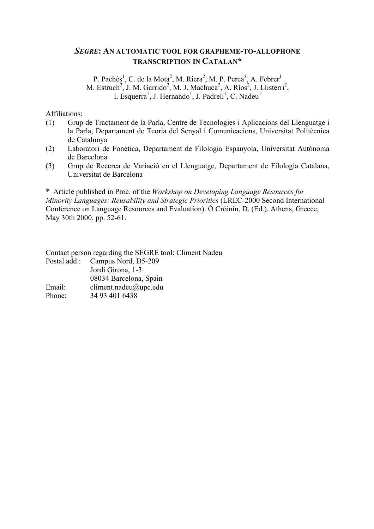## *SEGRE***: AN AUTOMATIC TOOL FOR GRAPHEME-TO-ALLOPHONE TRANSCRIPTION IN CATALAN\***

P. Pachès<sup>1</sup>, C. de la Mota<sup>2</sup>, M. Riera<sup>2</sup>, M. P. Perea<sup>3</sup>, A. Febrer<sup>1</sup> M. Estruch<sup>2</sup>, J. M. Garrido<sup>2</sup>, M. J. Machuca<sup>2</sup>, A. Ríos<sup>2</sup>, J. Llisterri<sup>2</sup>, I. Esquerra<sup>1</sup>, J. Hernando<sup>1</sup>, J. Padrell<sup>1</sup>, C. Nadeu<sup>1</sup>

Affiliations:

- (1) Grup de Tractament de la Parla, Centre de Tecnologies i Aplicacions del Llenguatge i la Parla, Departament de Teoria del Senyal i Comunicacions, Universitat Politècnica de Catalunya
- (2) Laboratori de Fonètica, Departament de Filologia Espanyola, Universitat Autònoma de Barcelona
- (3) Grup de Recerca de Variació en el Llenguatge, Departament de Filologia Catalana, Universitat de Barcelona

\* Article published in Proc. of the *Workshop on Developing Language Resources for Minority Languages: Reusability and Strategic Priorities* (LREC-2000 Second International Conference on Language Resources and Evaluation). Ó Cróinín, D. (Ed.). Athens, Greece, May 30th 2000. pp. 52-61.

Contact person regarding the SEGRE tool: Climent Nadeu Postal add.: Campus Nord, D5-209 Jordi Girona, 1-3  $0.0034$  Barcelona, Spain

|        | 08034 Barcelona, Spain           |
|--------|----------------------------------|
| Email: | climent.nadeu $(\omega)$ upc.edu |
| Phone: | 34 93 401 6438                   |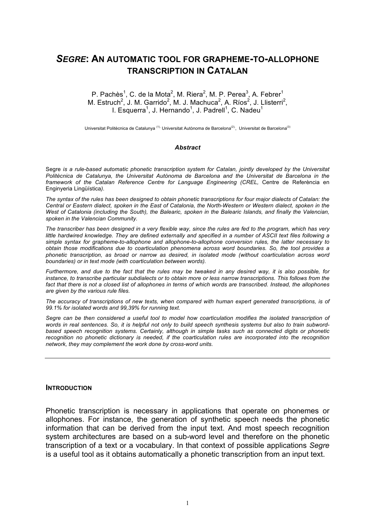# *SEGRE***: AN AUTOMATIC TOOL FOR GRAPHEME-TO-ALLOPHONE TRANSCRIPTION IN CATALAN**

P. Pachès $^1$ , C. de la Mota $^2$ , M. Riera $^2$ , M. P. Perea $^3$ , A. Febrer $^1$ M. Estruch<sup>2</sup>, J. M. Garrido<sup>2</sup>, M. J. Machuca<sup>2</sup>, A. Ríos<sup>2</sup>, J. Llisterri<sup>2</sup>, I. Esquerra<sup>1</sup>, J. Hernando<sup>1</sup>, J. Padrell<sup>1</sup>, C. Nadeu<sup>1</sup>

Universitat Politècnica de Catalunya<sup>(1),</sup> Universitat Autònoma de Barcelona<sup>(2)</sup>, Universitat de Barcelona<sup>(3)</sup>

#### *Abstract*

Segre *is a rule-based automatic phonetic transcription system for Catalan, jointly developed by the Universitat Politècnica de Catalunya, the Universitat Autònoma de Barcelona and the Universitat de Barcelona in the framework of the Catalan Reference Centre for Language Engineering (CREL,* Centre de Referència en Enginyeria Lingüística*).*

*The syntax of the rules has been designed to obtain phonetic transcriptions for four major dialects of Catalan: the Central or Eastern dialect, spoken in the East of Catalonia, the North-Western or Western dialect, spoken in the West of Catalonia (including the South), the Balearic, spoken in the Balearic Islands, and finally the Valencian, spoken in the Valencian Community.*

*The transcriber has been designed in a very flexible way, since the rules are fed to the program, which has very*  little hardwired knowledge. They are defined externally and specified in a number of ASCII text files following a *simple syntax for grapheme-to-allophone and allophone-to-allophone conversion rules, the latter necessary to obtain those modifications due to coarticulation phenomena across word boundaries. So, the tool provides a phonetic transcription, as broad or narrow as desired, in isolated mode (without coarticulation across word boundaries) or in text mode (with coarticulation between words).* 

*Furthermore, and due to the fact that the rules may be tweaked in any desired way, it is also possible, for instance, to transcribe particular subdialects or to obtain more or less narrow transcriptions. This follows from the*  fact that there is not a closed list of allophones in terms of which words are transcribed. Instead, the allophones *are given by the various rule files.*

*The accuracy of transcriptions of new texts, when compared with human expert generated transcriptions, is of 99.1% for isolated words and 99,39% for running text.*

*Segre can be then considered a useful tool to model how coarticulation modifies the isolated transcription of words in real sentences. So, it is helpful not only to build speech synthesis systems but also to train subwordbased speech recognition systems. Certainly, although in simple tasks such as connected digits or phonetic*  recognition no phonetic dictionary is needed, if the coarticulation rules are incorporated into the recognition *network, they may complement the work done by cross-word units.*

#### **INTRODUCTION**

Phonetic transcription is necessary in applications that operate on phonemes or allophones. For instance, the generation of synthetic speech needs the phonetic information that can be derived from the input text. And most speech recognition system architectures are based on a sub-word level and therefore on the phonetic transcription of a text or a vocabulary. In that context of possible applications *Segre* is a useful tool as it obtains automatically a phonetic transcription from an input text.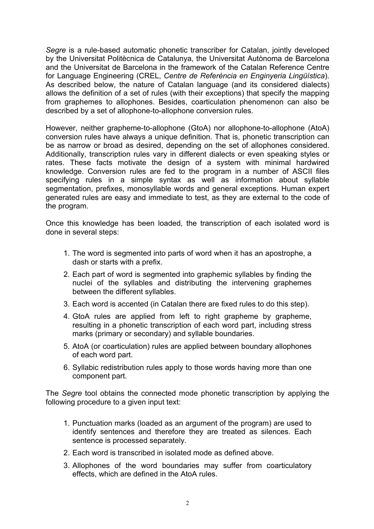*Segre* is a rule-based automatic phonetic transcriber for Catalan, jointly developed by the Universitat Politècnica de Catalunya, the Universitat Autònoma de Barcelona and the Universitat de Barcelona in the framework of the Catalan Reference Centre for Language Engineering (CREL, *Centre de Referència en Enginyeria Lingüística*). As described below, the nature of Catalan language (and its considered dialects) allows the definition of a set of rules (with their exceptions) that specify the mapping from graphemes to allophones. Besides, coarticulation phenomenon can also be described by a set of allophone-to-allophone conversion rules.

However, neither grapheme-to-allophone (GtoA) nor allophone-to-allophone (AtoA) conversion rules have always a unique definition. That is, phonetic transcription can be as narrow or broad as desired, depending on the set of allophones considered. Additionally, transcription rules vary in different dialects or even speaking styles or rates. These facts motivate the design of a system with minimal hardwired knowledge. Conversion rules are fed to the program in a number of ASCII files specifying rules in a simple syntax as well as information about syllable segmentation, prefixes, monosyllable words and general exceptions. Human expert generated rules are easy and immediate to test, as they are external to the code of the program.

Once this knowledge has been loaded, the transcription of each isolated word is done in several steps:

- 1. The word is segmented into parts of word when it has an apostrophe, a dash or starts with a prefix.
- 2. Each part of word is segmented into graphemic syllables by finding the nuclei of the syllables and distributing the intervening graphemes between the different syllables.
- 3. Each word is accented (in Catalan there are fixed rules to do this step).
- 4. GtoA rules are applied from left to right grapheme by grapheme, resulting in a phonetic transcription of each word part, including stress marks (primary or secondary) and syllable boundaries.
- 5. AtoA (or coarticulation) rules are applied between boundary allophones of each word part.
- 6. Syllabic redistribution rules apply to those words having more than one component part.

The *Segre* tool obtains the connected mode phonetic transcription by applying the following procedure to a given input text:

- 1. Punctuation marks (loaded as an argument of the program) are used to identify sentences and therefore they are treated as silences. Each sentence is processed separately.
- 2. Each word is transcribed in isolated mode as defined above.
- 3. Allophones of the word boundaries may suffer from coarticulatory effects, which are defined in the AtoA rules.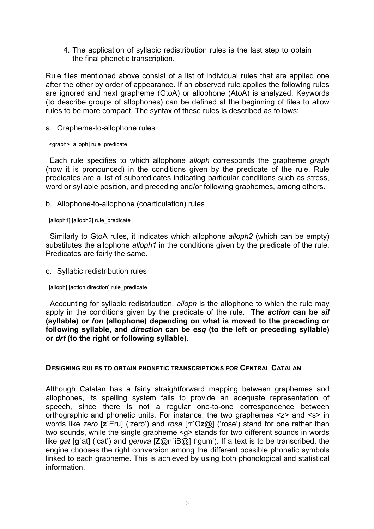4. The application of syllabic redistribution rules is the last step to obtain the final phonetic transcription.

Rule files mentioned above consist of a list of individual rules that are applied one after the other by order of appearance. If an observed rule applies the following rules are ignored and next grapheme (GtoA) or allophone (AtoA) is analyzed. Keywords (to describe groups of allophones) can be defined at the beginning of files to allow rules to be more compact. The syntax of these rules is described as follows:

a. Grapheme-to-allophone rules

#### <graph> [alloph] rule\_predicate

 Each rule specifies to which allophone *alloph* corresponds the grapheme *graph* (how it is pronounced) in the conditions given by the predicate of the rule. Rule predicates are a list of subpredicates indicating particular conditions such as stress, word or syllable position, and preceding and/or following graphemes, among others.

#### b. Allophone-to-allophone (coarticulation) rules

#### [alloph1] [alloph2] rule\_predicate

 Similarly to GtoA rules, it indicates which allophone *alloph2* (which can be empty) substitutes the allophone *alloph1* in the conditions given by the predicate of the rule. Predicates are fairly the same.

#### c. Syllabic redistribution rules

#### [alloph] [action|direction] rule\_predicate

 Accounting for syllabic redistribution, *alloph* is the allophone to which the rule may apply in the conditions given by the predicate of the rule. **The** *action* **can be** *sil* **(syllable) or** *fon* **(allophone) depending on what is moved to the preceding or following syllable, and** *direction* **can be** *esq* **(to the left or preceding syllable) or** *drt* **(to the right or following syllable).**

#### **DESIGNING RULES TO OBTAIN PHONETIC TRANSCRIPTIONS FOR CENTRAL CATALAN**

Although Catalan has a fairly straightforward mapping between graphemes and allophones, its spelling system fails to provide an adequate representation of speech, since there is not a regular one-to-one correspondence between orthographic and phonetic units. For instance, the two graphemes <z> and <s> in words like *zero* [**z**`Eru] ('zero') and *rosa* [rr`O**z**@] ('rose') stand for one rather than two sounds, while the single grapheme <g> stands for two different sounds in words like *gat* [**g**`at] ('cat') and *geniva* [**Z**@n`iB@] ('gum'). If a text is to be transcribed, the engine chooses the right conversion among the different possible phonetic symbols linked to each grapheme. This is achieved by using both phonological and statistical information.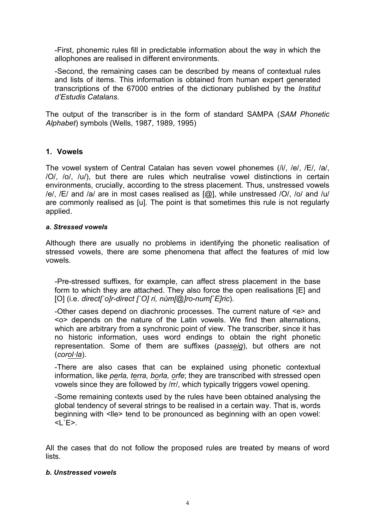-First, phonemic rules fill in predictable information about the way in which the allophones are realised in different environments.

-Second, the remaining cases can be described by means of contextual rules and lists of items. This information is obtained from human expert generated transcriptions of the 67000 entries of the dictionary published by the *Institut d'Estudis Catalans*.

The output of the transcriber is in the form of standard SAMPA (*SAM Phonetic Alphabet*) symbols (Wells, 1987, 1989, 1995)

### **1. Vowels**

The vowel system of Central Catalan has seven vowel phonemes (/i/, /e/, /E/, /a/, /O/, /o/, /u/), but there are rules which neutralise vowel distinctions in certain environments, crucially, according to the stress placement. Thus, unstressed vowels /e/, /E/ and /a/ are in most cases realised as [@], while unstressed /O/, /o/ and /u/ are commonly realised as [u]. The point is that sometimes this rule is not regularly applied.

#### *a. Stressed vowels*

Although there are usually no problems in identifying the phonetic realisation of stressed vowels, there are some phenomena that affect the features of mid low vowels.

-Pre-stressed suffixes, for example, can affect stress placement in the base form to which they are attached. They also force the open realisations [E] and [O] (i.e. *direct[`o]r-direct [`O] ri, núm[@]ro-num[`E]ric*).

-Other cases depend on diachronic processes. The current nature of <e> and <o> depends on the nature of the Latin vowels. We find then alternations, which are arbitrary from a synchronic point of view. The transcriber, since it has no historic information, uses word endings to obtain the right phonetic representation. Some of them are suffixes (*passeig*), but others are not (*corol·la*).

-There are also cases that can be explained using phonetic contextual information, like *perla, terra, borla, orfe*; they are transcribed with stressed open vowels since they are followed by /rr/, which typically triggers vowel opening.

-Some remaining contexts used by the rules have been obtained analysing the global tendency of several strings to be realised in a certain way. That is, words beginning with <lle> tend to be pronounced as beginning with an open vowel: <L`E>.

All the cases that do not follow the proposed rules are treated by means of word lists.

### *b. Unstressed vowels*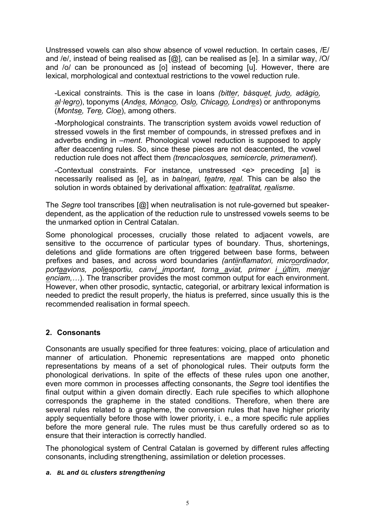Unstressed vowels can also show absence of vowel reduction. In certain cases, /E/ and /e/, instead of being realised as [@], can be realised as [e]. In a similar way, /O/ and /o/ can be pronounced as [o] instead of becoming [u]. However, there are lexical, morphological and contextual restrictions to the vowel reduction rule.

-Lexical constraints. This is the case in loans *(bitter, bàsquet, judo, adàgio, al·legro*), toponyms (*Andes, Mònaco, Oslo, Chicago, Londres*) or anthroponyms (*Montse, Tere, Cloe*), among others.

-Morphological constraints. The transcription system avoids vowel reduction of stressed vowels in the first member of compounds, in stressed prefixes and in adverbs ending in *–ment*. Phonological vowel reduction is supposed to apply after deaccenting rules. So, since these pieces are not deaccented, the vowel reduction rule does not affect them *(trencaclosques, semicercle, primerament*).

-Contextual constraints. For instance, unstressed <e> preceding [a] is necessarily realised as [e], as in *balneari, teatre, real.* This can be also the solution in words obtained by derivational affixation: *teatralitat, realisme*.

The *Segre* tool transcribes [@] when neutralisation is not rule-governed but speakerdependent, as the application of the reduction rule to unstressed vowels seems to be the unmarked option in Central Catalan.

Some phonological processes, crucially those related to adjacent vowels, are sensitive to the occurrence of particular types of boundary. Thus, shortenings, deletions and glide formations are often triggered between base forms, between prefixes and bases, and across word boundaries *(antiinflamatori, microordinador, portaavions, poliesportiu, canvi important, torna aviat, primer i últim, menjar enciam,…*). The transcriber provides the most common output for each environment. However, when other prosodic, syntactic, categorial, or arbitrary lexical information is needed to predict the result properly, the hiatus is preferred, since usually this is the recommended realisation in formal speech.

# **2. Consonants**

Consonants are usually specified for three features: voicing, place of articulation and manner of articulation. Phonemic representations are mapped onto phonetic representations by means of a set of phonological rules. Their outputs form the phonological derivations. In spite of the effects of these rules upon one another, even more common in processes affecting consonants, the *Segre* tool identifies the final output within a given domain directly. Each rule specifies to which allophone corresponds the grapheme in the stated conditions. Therefore, when there are several rules related to a grapheme, the conversion rules that have higher priority apply sequentially before those with lower priority, i. e., a more specific rule applies before the more general rule. The rules must be thus carefully ordered so as to ensure that their interaction is correctly handled.

The phonological system of Central Catalan is governed by different rules affecting consonants, including strengthening, assimilation or deletion processes.

#### *a. BL and GL clusters strengthening*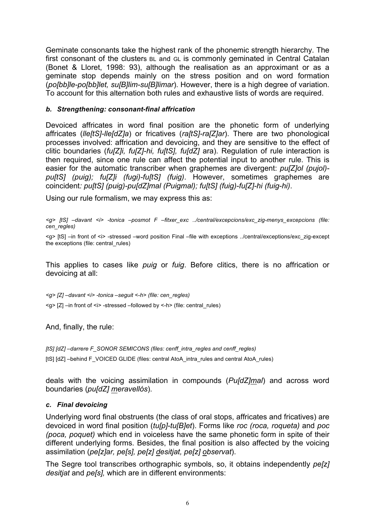Geminate consonants take the highest rank of the phonemic strength hierarchy. The first consonant of the clusters BL and GL is commonly geminated in Central Catalan (Bonet & Lloret, 1998: 93), although the realisation as an approximant or as a geminate stop depends mainly on the stress position and on word formation (*po[bb]le-po[bb]let, su[B]lim-su[B]limar*). However, there is a high degree of variation. To account for this alternation both rules and exhaustive lists of words are required.

#### *b. Strengthening: consonant-final affrication*

Devoiced affricates in word final position are the phonetic form of underlying affricates (*lle[tS]-lle[dZ]a*) or fricatives (*ra[tS]-ra[Z]ar*). There are two phonological processes involved: affrication and devoicing, and they are sensitive to the effect of clitic boundaries (*fu[Z]i, fu[Z]-hi, fu[tS], fu[dZ]* ara). Regulation of rule interaction is then required, since one rule can affect the potential input to another rule. This is easier for the automatic transcriber when graphemes are divergent: *pu[Z]ol (pujol) pu[tS] (puig); fu[Z]i (fugi)-fu[tS] (fuig)*. However, sometimes graphemes are coincident*: pu[tS] (puig)-pu[dZ]mal (Puigmal); fu[tS] (fuig)-fu[Z]-hi (fuig-hi)*.

Using our rule formalism, we may express this as:

*<g> [tS] –davant <i> -tonica –posmot F –fitxer\_exc ../central/excepcions/exc\_zig-menys\_excepcions (file: cen\_regles)*

<g> [tS] –in front of <i> -stressed –word position Final –file with exceptions ../central/exceptions/exc\_zig-except the exceptions (file: central\_rules)

This applies to cases like *puig* or *fuig*. Before clitics, there is no affrication or devoicing at all:

*<g> [Z] –davant <i> -tonica –seguit <-h> (file: cen\_regles)* <g> [Z] –in front of <i> -stressed –followed by <-h> (file: central\_rules)

And, finally, the rule:

*[tS] [dZ] –darrere F\_SONOR SEMICONS (files: cenff\_intra\_regles and cenff\_regles)* [tS] [dZ] –behind F\_VOICED GLIDE (files: central AtoA\_intra\_rules and central AtoA\_rules)

deals with the voicing assimilation in compounds (*Pu[dZ]mal*) and across word boundaries (*pu[dZ] meravellós*).

#### *c. Final devoicing*

Underlying word final obstruents (the class of oral stops, affricates and fricatives) are devoiced in word final position (*tu[p]-tu[B]et*). Forms like *roc (roca, roqueta)* and *poc (poca, poquet)* which end in voiceless have the same phonetic form in spite of their different underlying forms. Besides, the final position is also affected by the voicing assimilation (*pe[z]ar, pe[s], pe[z] desitjat, pe[z] observat*).

The Segre tool transcribes orthographic symbols, so, it obtains independently *pe[z] desitjat* and *pe[s],* which are in different environments: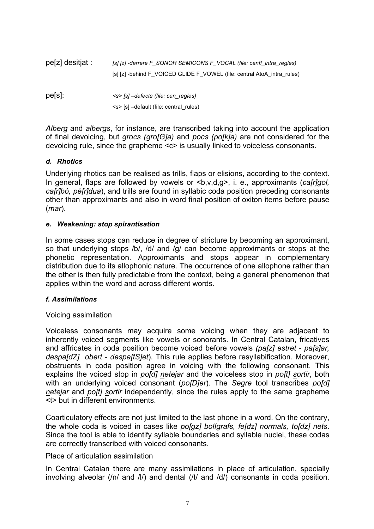| $pe[z]$ desitiat : | [s] [z] -darrere F SONOR SEMICONS F VOCAL (file: cenff intra regles)    |
|--------------------|-------------------------------------------------------------------------|
|                    | [s] [z] -behind F VOICED GLIDE F VOWEL (file: central AtoA intra rules) |
| $pe[s]$ :          | <s> [s] -defecte (file: cen regles)</s>                                 |
|                    | <s> [s] -default (file: central_rules)</s>                              |

*Alberg* and *albergs*, for instance, are transcribed taking into account the application of final devoicing, but *grocs (gro[G]a)* and *pocs (po[k]a)* are not considered for the devoicing rule, since the grapheme <c> is usually linked to voiceless consonants.

### *d. Rhotics*

Underlying rhotics can be realised as trills, flaps or elisions, according to the context. In general, flaps are followed by vowels or  $\langle b, v, d, g \rangle$ , i. e., approximants (*ca[r]gol, ca[r]bó, pè[r]dua*), and trills are found in syllabic coda position preceding consonants other than approximants and also in word final position of oxiton items before pause (*mar*).

### *e. Weakening: stop spirantisation*

In some cases stops can reduce in degree of stricture by becoming an approximant, so that underlying stops /b/, /d/ and /g/ can become approximants or stops at the phonetic representation. Approximants and stops appear in complementary distribution due to its allophonic nature. The occurrence of one allophone rather than the other is then fully predictable from the context, being a general phenomenon that applies within the word and across different words.

### *f. Assimilations*

### Voicing assimilation

Voiceless consonants may acquire some voicing when they are adjacent to inherently voiced segments like vowels or sonorants. In Central Catalan, fricatives and affricates in coda position become voiced before vowels *(pa[z] estret - pa[s]ar, despa[dZ] obert - despa[tS]et*). This rule applies before resyllabification. Moreover, obstruents in coda position agree in voicing with the following consonant. This explains the voiced stop in *po[d] netejar* and the voiceless stop in *po[t] sortir*, both with an underlying voiced consonant (*po[D]er*). The *Segre* tool transcribes *po[d] netejar* and *po[t] sortir* independently, since the rules apply to the same grapheme <t> but in different environments.

Coarticulatory effects are not just limited to the last phone in a word. On the contrary, the whole coda is voiced in cases like *po[gz] bolígrafs, fe[dz] normals, to[dz] nets*. Since the tool is able to identify syllable boundaries and syllable nuclei, these codas are correctly transcribed with voiced consonants.

### Place of articulation assimilation

In Central Catalan there are many assimilations in place of articulation, specially involving alveolar (/n/ and /l/) and dental (/t/ and /d/) consonants in coda position.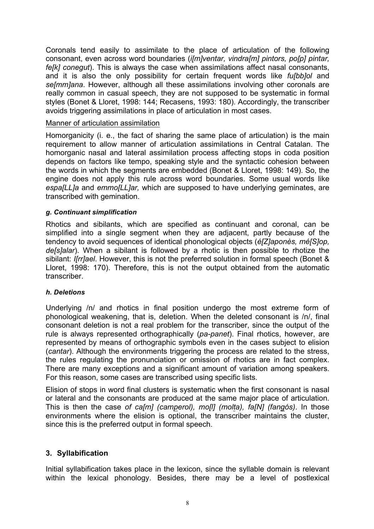Coronals tend easily to assimilate to the place of articulation of the following consonant, even across word boundaries (*i[m]ventar, vindra[m] pintors, po[p] pintar, fe[k] conegut*). This is always the case when assimilations affect nasal consonants, and it is also the only possibility for certain frequent words like *fu[bb]ol* and *se[mm]ana*. However, although all these assimilations involving other coronals are really common in casual speech, they are not supposed to be systematic in formal styles (Bonet & Lloret, 1998: 144; Recasens, 1993: 180). Accordingly, the transcriber avoids triggering assimilations in place of articulation in most cases.

#### Manner of articulation assimilation

Homorganicity (i. e., the fact of sharing the same place of articulation) is the main requirement to allow manner of articulation assimilations in Central Catalan. The homorganic nasal and lateral assimilation process affecting stops in coda position depends on factors like tempo, speaking style and the syntactic cohesion between the words in which the segments are embedded (Bonet & Lloret, 1998: 149). So, the engine does not apply this rule across word boundaries. Some usual words like *espa[LL]a* and *emmo[LL]ar,* which are supposed to have underlying geminates, are transcribed with gemination.

#### *g. Continuant simplification*

Rhotics and sibilants, which are specified as continuant and coronal, can be simplified into a single segment when they are adjacent, partly because of the tendency to avoid sequences of identical phonological objects (*é[Z]aponès, mé[S]op, de[s]alar*). When a sibilant is followed by a rhotic is then possible to rhotize the sibilant: *I[rr]ael*. However, this is not the preferred solution in formal speech (Bonet & Lloret, 1998: 170). Therefore, this is not the output obtained from the automatic transcriber.

#### *h. Deletions*

Underlying /n/ and rhotics in final position undergo the most extreme form of phonological weakening, that is, deletion. When the deleted consonant is /n/, final consonant deletion is not a real problem for the transcriber, since the output of the rule is always represented orthographically (*pa-panet*). Final rhotics, however, are represented by means of orthographic symbols even in the cases subject to elision (*cantar*). Although the environments triggering the process are related to the stress, the rules regulating the pronunciation or omission of rhotics are in fact complex. There are many exceptions and a significant amount of variation among speakers. For this reason, some cases are transcribed using specific lists.

Elision of stops in word final clusters is systematic when the first consonant is nasal or lateral and the consonants are produced at the same major place of articulation. This is then the case *of ca[m] (camperol), mo[l] (molta), fa[N] (fangós)*. In those environments where the elision is optional, the transcriber maintains the cluster, since this is the preferred output in formal speech.

### **3. Syllabification**

Initial syllabification takes place in the lexicon, since the syllable domain is relevant within the lexical phonology. Besides, there may be a level of postlexical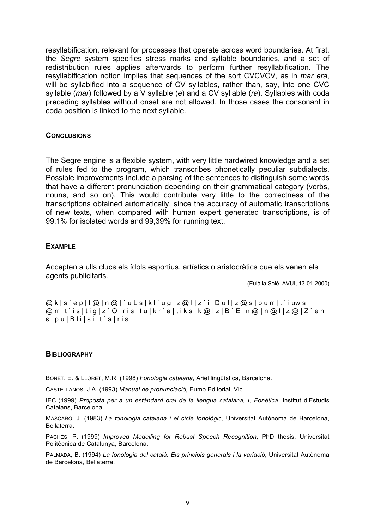resyllabification, relevant for processes that operate across word boundaries. At first, the *Segre* system specifies stress marks and syllable boundaries, and a set of redistribution rules applies afterwards to perform further resyllabification. The resyllabification notion implies that sequences of the sort CVCVCV, as in *mar era*, will be syllabified into a sequence of CV syllables, rather than, say, into one CVC syllable (*mar*) followed by a V syllable (*e*) and a CV syllable (*ra*). Syllables with coda preceding syllables without onset are not allowed. In those cases the consonant in coda position is linked to the next syllable.

#### **CONCLUSIONS**

The Segre engine is a flexible system, with very little hardwired knowledge and a set of rules fed to the program, which transcribes phonetically peculiar subdialects. Possible improvements include a parsing of the sentences to distinguish some words that have a different pronunciation depending on their grammatical category (verbs, nouns, and so on). This would contribute very little to the correctness of the transcriptions obtained automatically, since the accuracy of automatic transcriptions of new texts, when compared with human expert generated transcriptions, is of 99.1% for isolated words and 99,39% for running text.

#### **EXAMPLE**

Accepten a ulls clucs els ídols esportius, artístics o aristocràtics que els venen els agents publicitaris.

(Eulàlia Solé, AVUI, 13-01-2000)

 $@k|s^e$  e p | t  $@|n@|`uLs|kl`u g | z @l|z`i|Dul|z @s|pur|t`iuw s$  $@$  rr | t ` i s | t i g | z ` O | r i s | t u | k r ` a | t i k s | k  $@$  | z | B ` E | n  $@$  | n  $@$  | | z  $@$  | Z ` e n s | p u | B l i | s i | t ` a | r i s

#### **BIBLIOGRAPHY**

BONET, E. & LLORET, M.R. (1998) *Fonologia catalana,* Ariel lingüística, Barcelona.

CASTELLANOS, J.A. (1993) *Manual de pronunciació,* Eumo Editorial, Vic.

IEC (1999) *Proposta per a un estàndard oral de la llengua catalana, I, Fonètica*, Institut d'Estudis Catalans, Barcelona.

MASCARÓ, J. (1983) *La fonologia catalana i el cicle fonològic,* Universitat Autònoma de Barcelona, Bellaterra.

PACHÈS, P. (1999) *Improved Modelling for Robust Speech Recognition*, PhD thesis, Universitat Politècnica de Catalunya, Barcelona.

PALMADA, B. (1994) *La fonologia del català. Els principis generals i la variació,* Universitat Autònoma de Barcelona, Bellaterra.